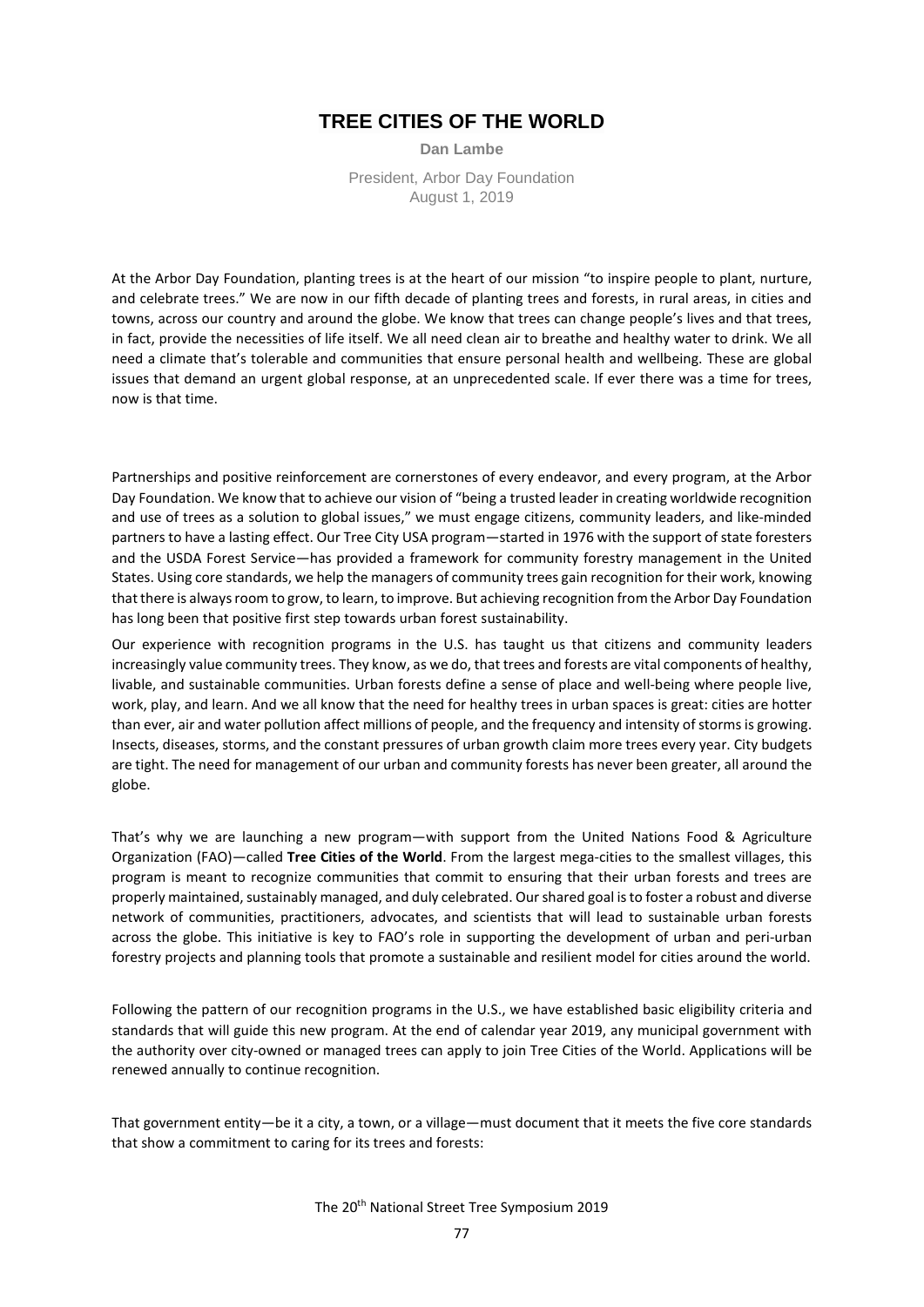### **TREE CITIES OF THE WORLD**

**Dan Lambe** President, Arbor Day Foundation August 1, 2019

At the Arbor Day Foundation, planting trees is at the heart of our mission "to inspire people to plant, nurture, and celebrate trees." We are now in our fifth decade of planting trees and forests, in rural areas, in cities and towns, across our country and around the globe. We know that trees can change people's lives and that trees, in fact, provide the necessities of life itself. We all need clean air to breathe and healthy water to drink. We all need a climate that's tolerable and communities that ensure personal health and wellbeing. These are global issues that demand an urgent global response, at an unprecedented scale. If ever there was a time for trees, now is that time.

Partnerships and positive reinforcement are cornerstones of every endeavor, and every program, at the Arbor Day Foundation. We know that to achieve our vision of "being a trusted leader in creating worldwide recognition and use of trees as a solution to global issues," we must engage citizens, community leaders, and like-minded partners to have a lasting effect. Our Tree City USA program—started in 1976 with the support of state foresters and the USDA Forest Service—has provided a framework for community forestry management in the United States. Using core standards, we help the managers of community trees gain recognition for their work, knowing that there is always room to grow, to learn, to improve. But achieving recognition from the Arbor Day Foundation has long been that positive first step towards urban forest sustainability.

Our experience with recognition programs in the U.S. has taught us that citizens and community leaders increasingly value community trees. They know, as we do, that trees and forests are vital components of healthy, livable, and sustainable communities. Urban forests define a sense of place and well-being where people live, work, play, and learn. And we all know that the need for healthy trees in urban spaces is great: cities are hotter than ever, air and water pollution affect millions of people, and the frequency and intensity of storms is growing. Insects, diseases, storms, and the constant pressures of urban growth claim more trees every year. City budgets are tight. The need for management of our urban and community forests has never been greater, all around the globe.

That's why we are launching a new program—with support from the United Nations Food & Agriculture Organization (FAO)—called **Tree Cities of the World**. From the largest mega-cities to the smallest villages, this program is meant to recognize communities that commit to ensuring that their urban forests and trees are properly maintained, sustainably managed, and duly celebrated. Our shared goal is to foster a robust and diverse network of communities, practitioners, advocates, and scientists that will lead to sustainable urban forests across the globe. This initiative is key to FAO's role in supporting the development of urban and peri-urban forestry projects and planning tools that promote a sustainable and resilient model for cities around the world.

Following the pattern of our recognition programs in the U.S., we have established basic eligibility criteria and standards that will guide this new program. At the end of calendar year 2019, any municipal government with the authority over city-owned or managed trees can apply to join Tree Cities of the World. Applications will be renewed annually to continue recognition.

That government entity—be it a city, a town, or a village—must document that it meets the five core standards that show a commitment to caring for its trees and forests:

The 20th National Street Tree Symposium 2019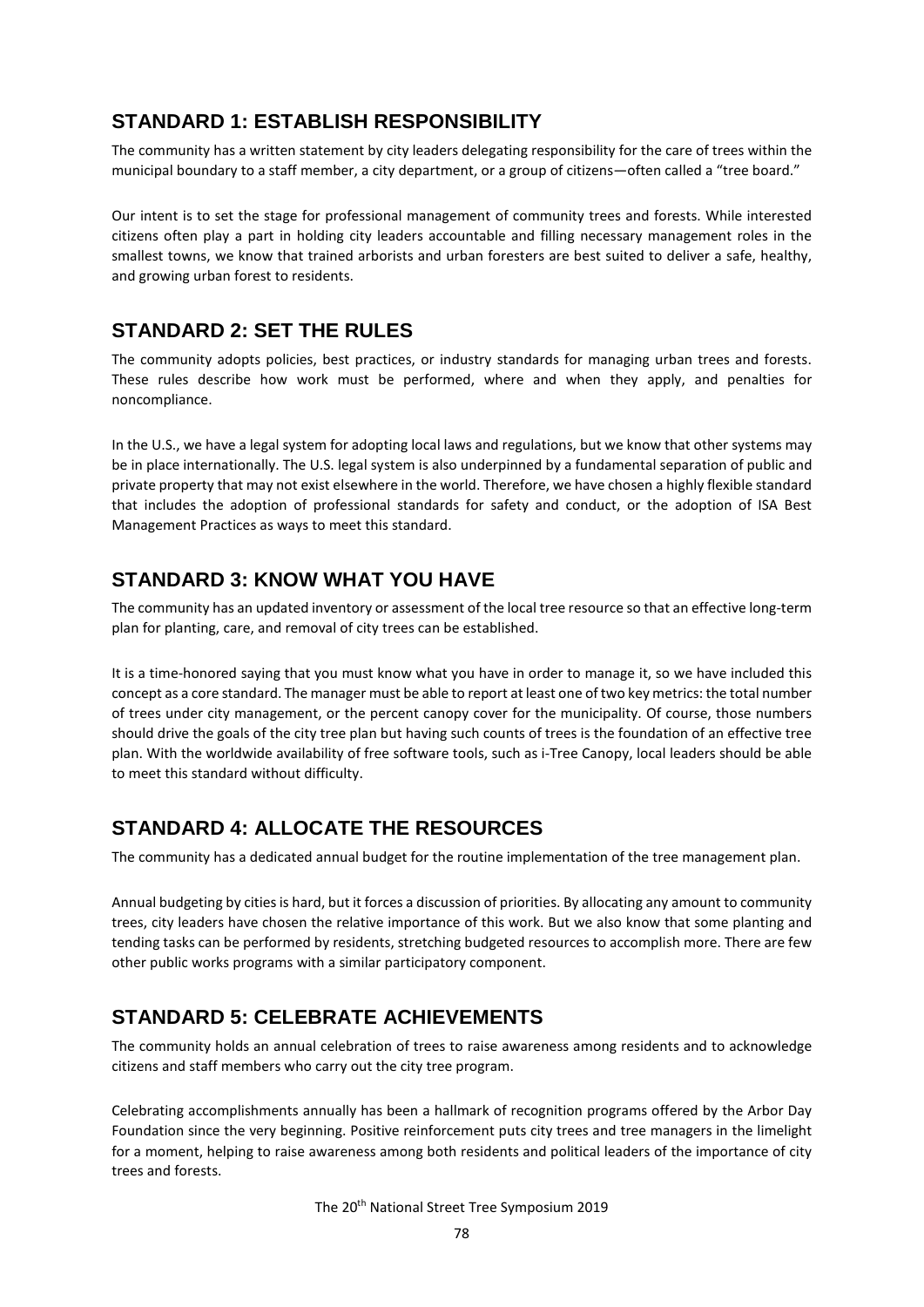### **STANDARD 1: ESTABLISH RESPONSIBILITY**

The community has a written statement by city leaders delegating responsibility for the care of trees within the municipal boundary to a staff member, a city department, or a group of citizens—often called a "tree board."

Our intent is to set the stage for professional management of community trees and forests. While interested citizens often play a part in holding city leaders accountable and filling necessary management roles in the smallest towns, we know that trained arborists and urban foresters are best suited to deliver a safe, healthy, and growing urban forest to residents.

### **STANDARD 2: SET THE RULES**

The community adopts policies, best practices, or industry standards for managing urban trees and forests. These rules describe how work must be performed, where and when they apply, and penalties for noncompliance.

In the U.S., we have a legal system for adopting local laws and regulations, but we know that other systems may be in place internationally. The U.S. legal system is also underpinned by a fundamental separation of public and private property that may not exist elsewhere in the world. Therefore, we have chosen a highly flexible standard that includes the adoption of professional standards for safety and conduct, or the adoption of ISA Best Management Practices as ways to meet this standard.

## **STANDARD 3: KNOW WHAT YOU HAVE**

The community has an updated inventory or assessment of the local tree resource so that an effective long-term plan for planting, care, and removal of city trees can be established.

It is a time-honored saying that you must know what you have in order to manage it, so we have included this concept as a core standard. The manager must be able to report at least one of two key metrics: the total number of trees under city management, or the percent canopy cover for the municipality. Of course, those numbers should drive the goals of the city tree plan but having such counts of trees is the foundation of an effective tree plan. With the worldwide availability of free software tools, such as i-Tree Canopy, local leaders should be able to meet this standard without difficulty.

# **STANDARD 4: ALLOCATE THE RESOURCES**

The community has a dedicated annual budget for the routine implementation of the tree management plan.

Annual budgeting by cities is hard, but it forces a discussion of priorities. By allocating any amount to community trees, city leaders have chosen the relative importance of this work. But we also know that some planting and tending tasks can be performed by residents, stretching budgeted resources to accomplish more. There are few other public works programs with a similar participatory component.

# **STANDARD 5: CELEBRATE ACHIEVEMENTS**

The community holds an annual celebration of trees to raise awareness among residents and to acknowledge citizens and staff members who carry out the city tree program.

Celebrating accomplishments annually has been a hallmark of recognition programs offered by the Arbor Day Foundation since the very beginning. Positive reinforcement puts city trees and tree managers in the limelight for a moment, helping to raise awareness among both residents and political leaders of the importance of city trees and forests.

The 20th National Street Tree Symposium 2019